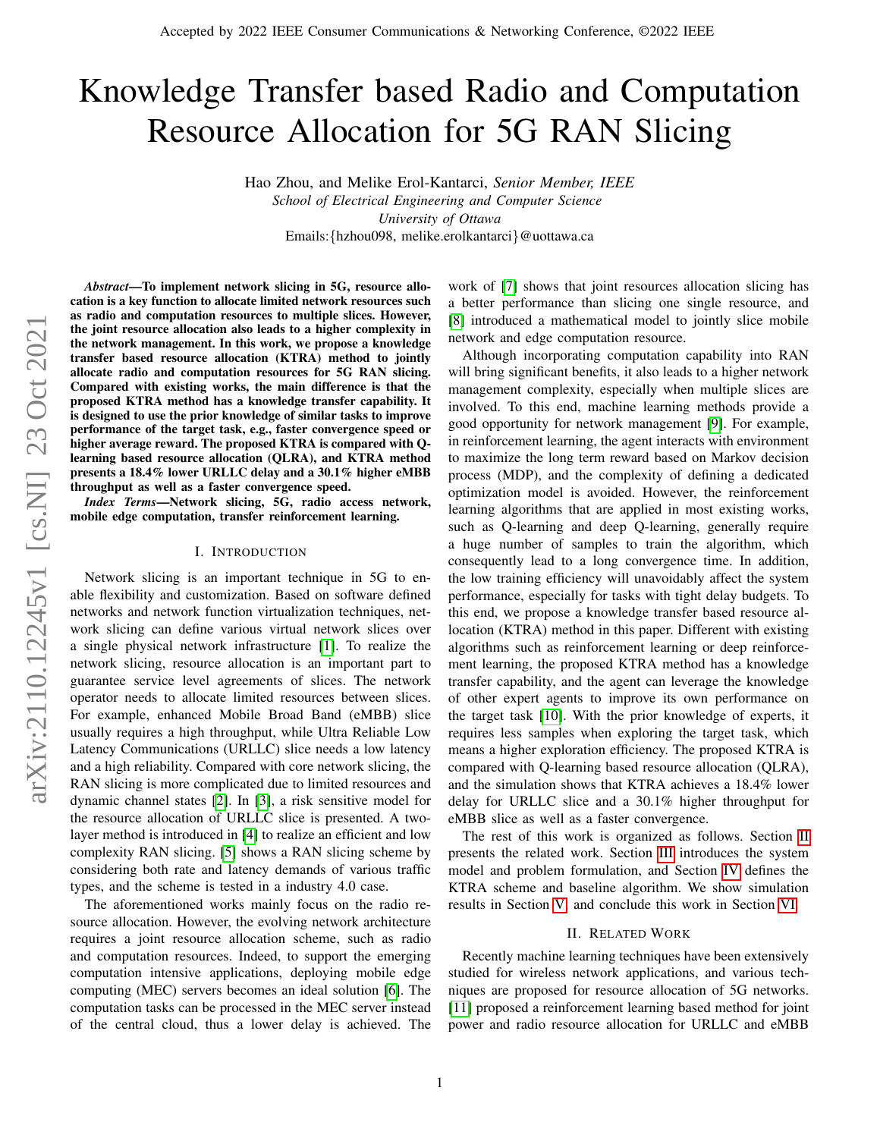# Knowledge Transfer based Radio and Computation Resource Allocation for 5G RAN Slicing

Hao Zhou, and Melike Erol-Kantarci, *Senior Member, IEEE School of Electrical Engineering and Computer Science University of Ottawa* Emails:{hzhou098, melike.erolkantarci}@uottawa.ca

*Abstract*—To implement network slicing in 5G, resource allocation is a key function to allocate limited network resources such as radio and computation resources to multiple slices. However, the joint resource allocation also leads to a higher complexity in the network management. In this work, we propose a knowledge transfer based resource allocation (KTRA) method to jointly allocate radio and computation resources for 5G RAN slicing. Compared with existing works, the main difference is that the proposed KTRA method has a knowledge transfer capability. It is designed to use the prior knowledge of similar tasks to improve performance of the target task, e.g., faster convergence speed or higher average reward. The proposed KTRA is compared with Qlearning based resource allocation (QLRA), and KTRA method presents a 18.4% lower URLLC delay and a 30.1% higher eMBB throughput as well as a faster convergence speed.

*Index Terms*—Network slicing, 5G, radio access network, mobile edge computation, transfer reinforcement learning.

#### I. INTRODUCTION

Network slicing is an important technique in 5G to enable flexibility and customization. Based on software defined networks and network function virtualization techniques, network slicing can define various virtual network slices over a single physical network infrastructure [\[1\]](#page-6-0). To realize the network slicing, resource allocation is an important part to guarantee service level agreements of slices. The network operator needs to allocate limited resources between slices. For example, enhanced Mobile Broad Band (eMBB) slice usually requires a high throughput, while Ultra Reliable Low Latency Communications (URLLC) slice needs a low latency and a high reliability. Compared with core network slicing, the RAN slicing is more complicated due to limited resources and dynamic channel states [\[2\]](#page-6-1). In [\[3\]](#page-6-2), a risk sensitive model for the resource allocation of URLLC slice is presented. A twolayer method is introduced in [\[4\]](#page-6-3) to realize an efficient and low complexity RAN slicing. [\[5\]](#page-6-4) shows a RAN slicing scheme by considering both rate and latency demands of various traffic types, and the scheme is tested in a industry 4.0 case.

The aforementioned works mainly focus on the radio resource allocation. However, the evolving network architecture requires a joint resource allocation scheme, such as radio and computation resources. Indeed, to support the emerging computation intensive applications, deploying mobile edge computing (MEC) servers becomes an ideal solution [\[6\]](#page-6-5). The computation tasks can be processed in the MEC server instead of the central cloud, thus a lower delay is achieved. The work of [\[7\]](#page-6-6) shows that joint resources allocation slicing has a better performance than slicing one single resource, and [\[8\]](#page-6-7) introduced a mathematical model to jointly slice mobile network and edge computation resource.

Although incorporating computation capability into RAN will bring significant benefits, it also leads to a higher network management complexity, especially when multiple slices are involved. To this end, machine learning methods provide a good opportunity for network management [\[9\]](#page-6-8). For example, in reinforcement learning, the agent interacts with environment to maximize the long term reward based on Markov decision process (MDP), and the complexity of defining a dedicated optimization model is avoided. However, the reinforcement learning algorithms that are applied in most existing works, such as Q-learning and deep Q-learning, generally require a huge number of samples to train the algorithm, which consequently lead to a long convergence time. In addition, the low training efficiency will unavoidably affect the system performance, especially for tasks with tight delay budgets. To this end, we propose a knowledge transfer based resource allocation (KTRA) method in this paper. Different with existing algorithms such as reinforcement learning or deep reinforcement learning, the proposed KTRA method has a knowledge transfer capability, and the agent can leverage the knowledge of other expert agents to improve its own performance on the target task [\[10\]](#page-6-9). With the prior knowledge of experts, it requires less samples when exploring the target task, which means a higher exploration efficiency. The proposed KTRA is compared with Q-learning based resource allocation (QLRA), and the simulation shows that KTRA achieves a 18.4% lower delay for URLLC slice and a 30.1% higher throughput for eMBB slice as well as a faster convergence.

The rest of this work is organized as follows. Section [II](#page-0-0) presents the related work. Section [III](#page-1-0) introduces the system model and problem formulation, and Section [IV](#page-2-0) defines the KTRA scheme and baseline algorithm. We show simulation results in Section [V,](#page-4-0) and conclude this work in Section [VI.](#page-4-1)

#### II. RELATED WORK

<span id="page-0-0"></span>Recently machine learning techniques have been extensively studied for wireless network applications, and various techniques are proposed for resource allocation of 5G networks. [\[11\]](#page-6-10) proposed a reinforcement learning based method for joint power and radio resource allocation for URLLC and eMBB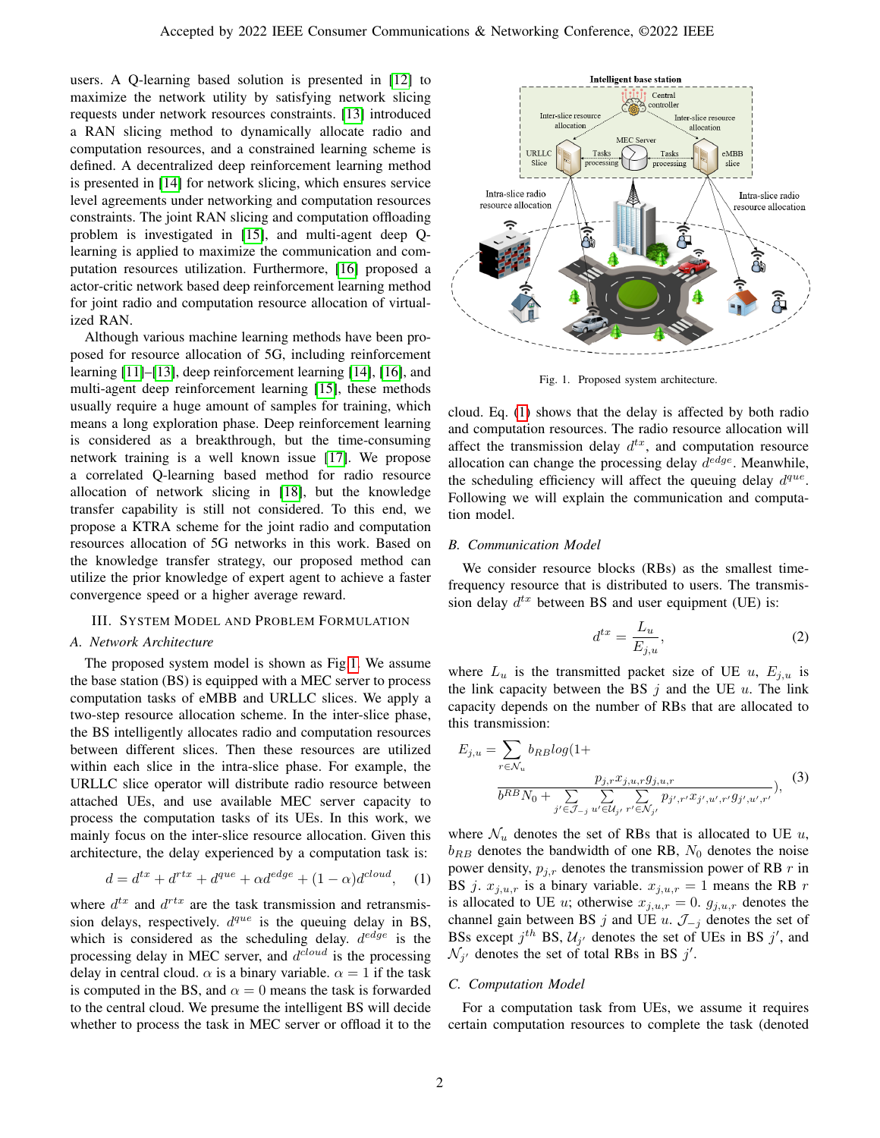users. A Q-learning based solution is presented in [\[12\]](#page-6-11) to maximize the network utility by satisfying network slicing requests under network resources constraints. [\[13\]](#page-6-12) introduced a RAN slicing method to dynamically allocate radio and computation resources, and a constrained learning scheme is defined. A decentralized deep reinforcement learning method is presented in [\[14\]](#page-6-13) for network slicing, which ensures service level agreements under networking and computation resources constraints. The joint RAN slicing and computation offloading problem is investigated in [\[15\]](#page-6-14), and multi-agent deep Qlearning is applied to maximize the communication and computation resources utilization. Furthermore, [\[16\]](#page-6-15) proposed a actor-critic network based deep reinforcement learning method for joint radio and computation resource allocation of virtualized RAN.

Although various machine learning methods have been proposed for resource allocation of 5G, including reinforcement learning [\[11\]](#page-6-10)–[\[13\]](#page-6-12), deep reinforcement learning [\[14\]](#page-6-13), [\[16\]](#page-6-15), and multi-agent deep reinforcement learning [\[15\]](#page-6-14), these methods usually require a huge amount of samples for training, which means a long exploration phase. Deep reinforcement learning is considered as a breakthrough, but the time-consuming network training is a well known issue [\[17\]](#page-6-16). We propose a correlated Q-learning based method for radio resource allocation of network slicing in [\[18\]](#page-6-17), but the knowledge transfer capability is still not considered. To this end, we propose a KTRA scheme for the joint radio and computation resources allocation of 5G networks in this work. Based on the knowledge transfer strategy, our proposed method can utilize the prior knowledge of expert agent to achieve a faster convergence speed or a higher average reward.

#### <span id="page-1-0"></span>III. SYSTEM MODEL AND PROBLEM FORMULATION

## *A. Network Architecture*

The proposed system model is shown as Fig[.1.](#page-1-1) We assume the base station (BS) is equipped with a MEC server to process computation tasks of eMBB and URLLC slices. We apply a two-step resource allocation scheme. In the inter-slice phase, the BS intelligently allocates radio and computation resources between different slices. Then these resources are utilized within each slice in the intra-slice phase. For example, the URLLC slice operator will distribute radio resource between attached UEs, and use available MEC server capacity to process the computation tasks of its UEs. In this work, we mainly focus on the inter-slice resource allocation. Given this architecture, the delay experienced by a computation task is:

<span id="page-1-2"></span>
$$
d = d^{tx} + d^{rtx} + d^{que} + \alpha d^{edge} + (1 - \alpha)d^{cloud}, \quad (1)
$$

where  $d^{tx}$  and  $d^{rtx}$  are the task transmission and retransmission delays, respectively.  $d^{que}$  is the queuing delay in BS, which is considered as the scheduling delay.  $d^{edge}$  is the processing delay in MEC server, and  $d^{cloud}$  is the processing delay in central cloud.  $\alpha$  is a binary variable.  $\alpha = 1$  if the task is computed in the BS, and  $\alpha = 0$  means the task is forwarded to the central cloud. We presume the intelligent BS will decide whether to process the task in MEC server or offload it to the



<span id="page-1-1"></span>Fig. 1. Proposed system architecture.

cloud. Eq. [\(1\)](#page-1-2) shows that the delay is affected by both radio and computation resources. The radio resource allocation will affect the transmission delay  $d^{tx}$ , and computation resource allocation can change the processing delay  $d^{edge}$ . Meanwhile, the scheduling efficiency will affect the queuing delay  $d^{que}$ . Following we will explain the communication and computation model.

#### *B. Communication Model*

We consider resource blocks (RBs) as the smallest timefrequency resource that is distributed to users. The transmission delay  $d^{tx}$  between BS and user equipment (UE) is:

<span id="page-1-3"></span>
$$
d^{tx} = \frac{L_u}{E_{j,u}},\tag{2}
$$

where  $L_u$  is the transmitted packet size of UE u,  $E_{i,u}$  is the link capacity between the BS  $i$  and the UE  $u$ . The link capacity depends on the number of RBs that are allocated to this transmission:

<span id="page-1-4"></span>
$$
E_{j,u} = \sum_{r \in \mathcal{N}_u} b_{RB} log(1 + \frac{p_{j,r} x_{j,u,r} g_{j,u,r}}{b^{RB} N_0 + \sum_{j' \in \mathcal{J}_{-j}} \sum_{u' \in \mathcal{U}_{j'}} \sum_{r' \in \mathcal{N}_{j'}} p_{j',r'} x_{j',u',r'} g_{j',u',r'}}, \quad (3)
$$

where  $\mathcal{N}_u$  denotes the set of RBs that is allocated to UE  $u$ ,  $b_{RB}$  denotes the bandwidth of one RB,  $N_0$  denotes the noise power density,  $p_{j,r}$  denotes the transmission power of RB r in BS j.  $x_{j,u,r}$  is a binary variable.  $x_{j,u,r} = 1$  means the RB r is allocated to UE u; otherwise  $x_{j,u,r} = 0$ .  $g_{j,u,r}$  denotes the channel gain between BS j and UE u.  $\mathcal{J}_{-j}$  denotes the set of BSs except  $j^{th}$  BS,  $\mathcal{U}_{j'}$  denotes the set of UEs in BS  $j'$ , and  $\mathcal{N}_{j'}$  denotes the set of total RBs in BS  $j'$ .

#### *C. Computation Model*

For a computation task from UEs, we assume it requires certain computation resources to complete the task (denoted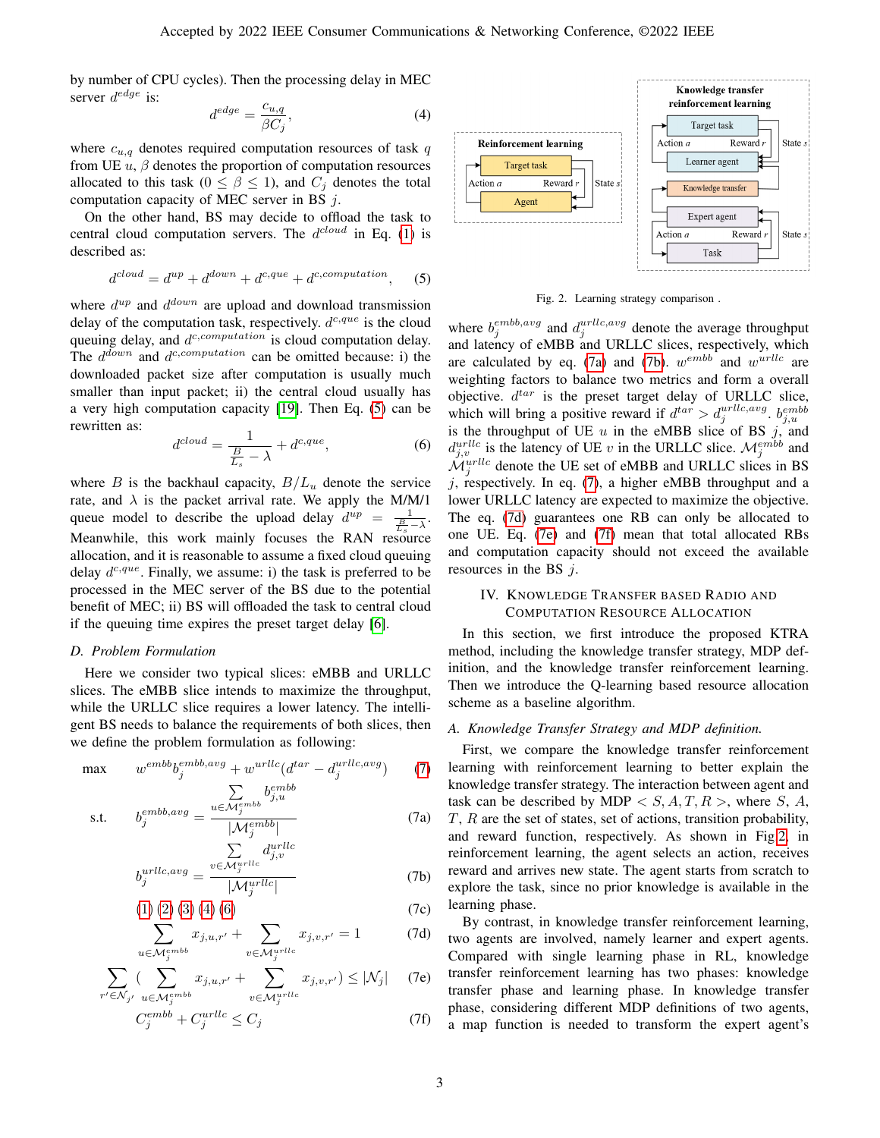by number of CPU cycles). Then the processing delay in MEC server  $d^{edge}$  is:

<span id="page-2-3"></span>
$$
d^{edge} = \frac{c_{u,q}}{\beta C_j},\tag{4}
$$

where  $c_{u,q}$  denotes required computation resources of task  $q$ from UE  $u$ ,  $\beta$  denotes the proportion of computation resources allocated to this task ( $0 \le \beta \le 1$ ), and  $C_i$  denotes the total computation capacity of MEC server in BS  $j$ .

On the other hand, BS may decide to offload the task to central cloud computation servers. The  $d^{cloud}$  in Eq. [\(1\)](#page-1-2) is described as:

<span id="page-2-1"></span>
$$
d^{cloud} = d^{up} + d^{down} + d^{c,que} + d^{c,computation}, \qquad (5)
$$

where  $d^{up}$  and  $d^{down}$  are upload and download transmission delay of the computation task, respectively.  $d^{c,que}$  is the cloud queuing delay, and  $d^{c,computation}$  is cloud computation delay. The  $d^{down}$  and  $d^{c,computation}$  can be omitted because: i) the downloaded packet size after computation is usually much smaller than input packet; ii) the central cloud usually has a very high computation capacity [\[19\]](#page-6-18). Then Eq. [\(5\)](#page-2-1) can be rewritten as:

<span id="page-2-4"></span>
$$
d^{cloud} = \frac{1}{\frac{B}{L_s} - \lambda} + d^{c,que},\tag{6}
$$

where B is the backhaul capacity,  $B/L_u$  denote the service rate, and  $\lambda$  is the packet arrival rate. We apply the M/M/1 queue model to describe the upload delay  $d^{up} = \frac{1}{\frac{B}{L} - \lambda}$ . Meanwhile, this work mainly focuses the RAN resource allocation, and it is reasonable to assume a fixed cloud queuing delay  $d^{c,que}$ . Finally, we assume: i) the task is preferred to be processed in the MEC server of the BS due to the potential benefit of MEC; ii) BS will offloaded the task to central cloud if the queuing time expires the preset target delay [\[6\]](#page-6-5).

#### *D. Problem Formulation*

Here we consider two typical slices: eMBB and URLLC slices. The eMBB slice intends to maximize the throughput, while the URLLC slice requires a lower latency. The intelligent BS needs to balance the requirements of both slices, then we define the problem formulation as following:

$$
\max \qquad w^{embb}b_j^{embb,avg} + w^{urllc}(d^{tar} - d_j^{urlc,avg}) \qquad (7)
$$

$$
\text{s.t.} \qquad b_j^{embb,avg} = \frac{\sum_{u \in \mathcal{M}_j^{emb}} b_{j,u}^{embb}}{|\mathcal{M}_j^{embb}|} \tag{7a}
$$

$$
b_j^{urllc,avg} = \frac{\sum\limits_{v \in \mathcal{M}_j^{urllc}} d_{j,v}^{urllc}}{|\mathcal{M}_j^{urllc}|}
$$
(7b)

$$
(1) (2) (3) (4) (6) \t(7c)
$$

$$
\sum_{u \in \mathcal{M}_j^{emb}} x_{j,u,r'} + \sum_{v \in \mathcal{M}_j^{urllc}} x_{j,v,r'} = 1 \tag{7d}
$$

$$
\sum_{r' \in \mathcal{N}_{j'}} \left( \sum_{u \in \mathcal{M}_j^{emb}} x_{j,u,r'} + \sum_{v \in \mathcal{M}_j^{urllc}} x_{j,v,r'} \right) \le |\mathcal{N}_j| \quad (7e)
$$

$$
C_j^{embb} + C_j^{urllc} \le C_j \tag{7f}
$$



<span id="page-2-10"></span>Fig. 2. Learning strategy comparison .

where  $b_j^{emb, avg}$  and  $d_j^{urllc, avg}$  denote the average throughput and latency of eMBB and URLLC slices, respectively, which are calculated by eq. [\(7a\)](#page-2-5) and [\(7b\)](#page-2-6).  $w^{emb}$  and  $w^{urllc}$  are weighting factors to balance two metrics and form a overall objective.  $d^{tar}$  is the preset target delay of URLLC slice, which will bring a positive reward if  $d^{tar} > d_j^{urllc, avg}$ .  $b_{j,u}^{embb}$ is the throughput of UE  $u$  in the eMBB slice of BS  $j$ , and  $d_{j,v}^{urllc}$  is the latency of UE v in the URLLC slice.  $\mathcal{M}_j^{emb}$  and  $\mathcal{M}_j^{urllc}$  denote the UE set of eMBB and URLLC slices in BS  $j$ , respectively. In eq. [\(7\)](#page-2-2), a higher eMBB throughput and a lower URLLC latency are expected to maximize the objective. The eq. [\(7d\)](#page-2-7) guarantees one RB can only be allocated to one UE. Eq. [\(7e\)](#page-2-8) and [\(7f\)](#page-2-9) mean that total allocated RBs and computation capacity should not exceed the available resources in the BS  $j$ .

## <span id="page-2-0"></span>IV. KNOWLEDGE TRANSFER BASED RADIO AND COMPUTATION RESOURCE ALLOCATION

In this section, we first introduce the proposed KTRA method, including the knowledge transfer strategy, MDP definition, and the knowledge transfer reinforcement learning. Then we introduce the Q-learning based resource allocation scheme as a baseline algorithm.

## <span id="page-2-2"></span>*A. Knowledge Transfer Strategy and MDP definition.*

<span id="page-2-5"></span>First, we compare the knowledge transfer reinforcement learning with reinforcement learning to better explain the knowledge transfer strategy. The interaction between agent and task can be described by MDP  $\lt S$ , A, T, R  $>$ , where S, A, T, R are the set of states, set of actions, transition probability, and reward function, respectively. As shown in Fig[.2,](#page-2-10) in reinforcement learning, the agent selects an action, receives reward and arrives new state. The agent starts from scratch to explore the task, since no prior knowledge is available in the learning phase.

<span id="page-2-9"></span><span id="page-2-8"></span><span id="page-2-7"></span><span id="page-2-6"></span>By contrast, in knowledge transfer reinforcement learning, two agents are involved, namely learner and expert agents. Compared with single learning phase in RL, knowledge transfer reinforcement learning has two phases: knowledge transfer phase and learning phase. In knowledge transfer phase, considering different MDP definitions of two agents, a map function is needed to transform the expert agent's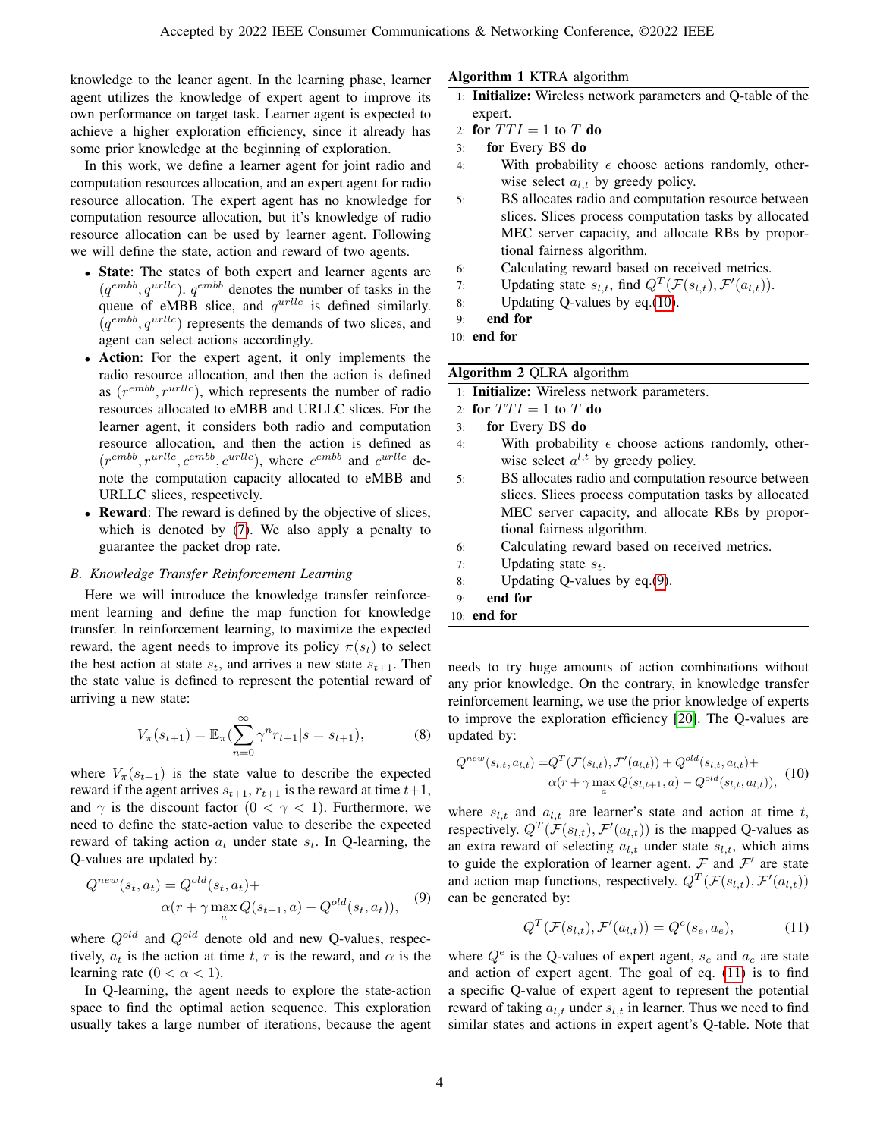knowledge to the leaner agent. In the learning phase, learner agent utilizes the knowledge of expert agent to improve its own performance on target task. Learner agent is expected to achieve a higher exploration efficiency, since it already has some prior knowledge at the beginning of exploration.

In this work, we define a learner agent for joint radio and computation resources allocation, and an expert agent for radio resource allocation. The expert agent has no knowledge for computation resource allocation, but it's knowledge of radio resource allocation can be used by learner agent. Following we will define the state, action and reward of two agents.

- State: The states of both expert and learner agents are  $(q^{emb}, q^{urllc})$ .  $q^{emb}$  denotes the number of tasks in the queue of eMBB slice, and  $q^{urllc}$  is defined similarly.  $(q^{emb}, q^{urllc})$  represents the demands of two slices, and agent can select actions accordingly.
- Action: For the expert agent, it only implements the radio resource allocation, and then the action is defined as  $(r^{emb}, r^{urllc})$ , which represents the number of radio resources allocated to eMBB and URLLC slices. For the learner agent, it considers both radio and computation resource allocation, and then the action is defined as  $(r^{emb}, r^{urllc}, c^{embb}, c^{urllc})$ , where  $c^{embb}$  and  $c^{urllc}$  denote the computation capacity allocated to eMBB and URLLC slices, respectively.
- Reward: The reward is defined by the objective of slices, which is denoted by [\(7\)](#page-2-2). We also apply a penalty to guarantee the packet drop rate.

#### *B. Knowledge Transfer Reinforcement Learning*

Here we will introduce the knowledge transfer reinforcement learning and define the map function for knowledge transfer. In reinforcement learning, to maximize the expected reward, the agent needs to improve its policy  $\pi(s_t)$  to select the best action at state  $s_t$ , and arrives a new state  $s_{t+1}$ . Then the state value is defined to represent the potential reward of arriving a new state:

$$
V_{\pi}(s_{t+1}) = \mathbb{E}_{\pi} \left( \sum_{n=0}^{\infty} \gamma^n r_{t+1} | s = s_{t+1} \right), \tag{8}
$$

where  $V_{\pi}(s_{t+1})$  is the state value to describe the expected reward if the agent arrives  $s_{t+1}$ ,  $r_{t+1}$  is the reward at time  $t+1$ , and  $\gamma$  is the discount factor  $(0 < \gamma < 1)$ . Furthermore, we need to define the state-action value to describe the expected reward of taking action  $a_t$  under state  $s_t$ . In Q-learning, the Q-values are updated by:

<span id="page-3-1"></span>
$$
Q^{new}(s_t, a_t) = Q^{old}(s_t, a_t) +
$$
  
 
$$
\alpha(r + \gamma \max_{a} Q(s_{t+1}, a) - Q^{old}(s_t, a_t)),
$$
 (9)

where  $Q^{old}$  and  $Q^{old}$  denote old and new Q-values, respectively,  $a_t$  is the action at time t, r is the reward, and  $\alpha$  is the learning rate  $(0 < \alpha < 1)$ .

In Q-learning, the agent needs to explore the state-action space to find the optimal action sequence. This exploration usually takes a large number of iterations, because the agent

## Algorithm 1 KTRA algorithm

- 1: Initialize: Wireless network parameters and Q-table of the expert.
- 2: for  $TTI = 1$  to T do
- 3: for Every BS do
- 4: With probability  $\epsilon$  choose actions randomly, otherwise select  $a_{l,t}$  by greedy policy.
- 5: BS allocates radio and computation resource between slices. Slices process computation tasks by allocated MEC server capacity, and allocate RBs by proportional fairness algorithm.
- 6: Calculating reward based on received metrics.
- 7: Updating state  $s_{l,t}$ , find  $Q^T(\mathcal{F}(s_{l,t}), \mathcal{F}'(a_{l,t}))$ .
- 8: Updating Q-values by eq.[\(10\)](#page-3-0).
- 9: end for
- 10: end for

#### Algorithm 2 QLRA algorithm

- 1: Initialize: Wireless network parameters.
- 2: for  $TTI = 1$  to T do
- 3: for Every BS do
- 4: With probability  $\epsilon$  choose actions randomly, otherwise select  $a^{l,t}$  by greedy policy.
- 5: BS allocates radio and computation resource between slices. Slices process computation tasks by allocated MEC server capacity, and allocate RBs by proportional fairness algorithm.
- 6: Calculating reward based on received metrics.
- 7: Updating state  $s_t$ .
- 8: Updating Q-values by eq.[\(9\)](#page-3-1).
- 9: end for
- 10: end for

needs to try huge amounts of action combinations without any prior knowledge. On the contrary, in knowledge transfer reinforcement learning, we use the prior knowledge of experts to improve the exploration efficiency [\[20\]](#page-6-19). The Q-values are updated by:

<span id="page-3-0"></span>
$$
Q^{new}(s_{l,t}, a_{l,t}) = Q^{T}(\mathcal{F}(s_{l,t}), \mathcal{F}'(a_{l,t})) + Q^{old}(s_{l,t}, a_{l,t}) + \alpha(r + \gamma \max_{a} Q(s_{l,t+1}, a) - Q^{old}(s_{l,t}, a_{l,t})),
$$
 (10)

where  $s_{l,t}$  and  $a_{l,t}$  are learner's state and action at time t, respectively.  $Q^T(\mathcal{F}(s_{l,t}), \mathcal{F}'(a_{l,t}))$  is the mapped Q-values as an extra reward of selecting  $a_{l,t}$  under state  $s_{l,t}$ , which aims to guide the exploration of learner agent.  $\mathcal F$  and  $\mathcal F'$  are state and action map functions, respectively.  $Q^T(\mathcal{F}(s_{l,t}), \mathcal{F}'(a_{l,t}))$ can be generated by:

<span id="page-3-2"></span>
$$
Q^T(\mathcal{F}(s_{l,t}), \mathcal{F}'(a_{l,t})) = Q^e(s_e, a_e), \tag{11}
$$

where  $Q^e$  is the Q-values of expert agent,  $s_e$  and  $a_e$  are state and action of expert agent. The goal of eq. [\(11\)](#page-3-2) is to find a specific Q-value of expert agent to represent the potential reward of taking  $a_{l,t}$  under  $s_{l,t}$  in learner. Thus we need to find similar states and actions in expert agent's Q-table. Note that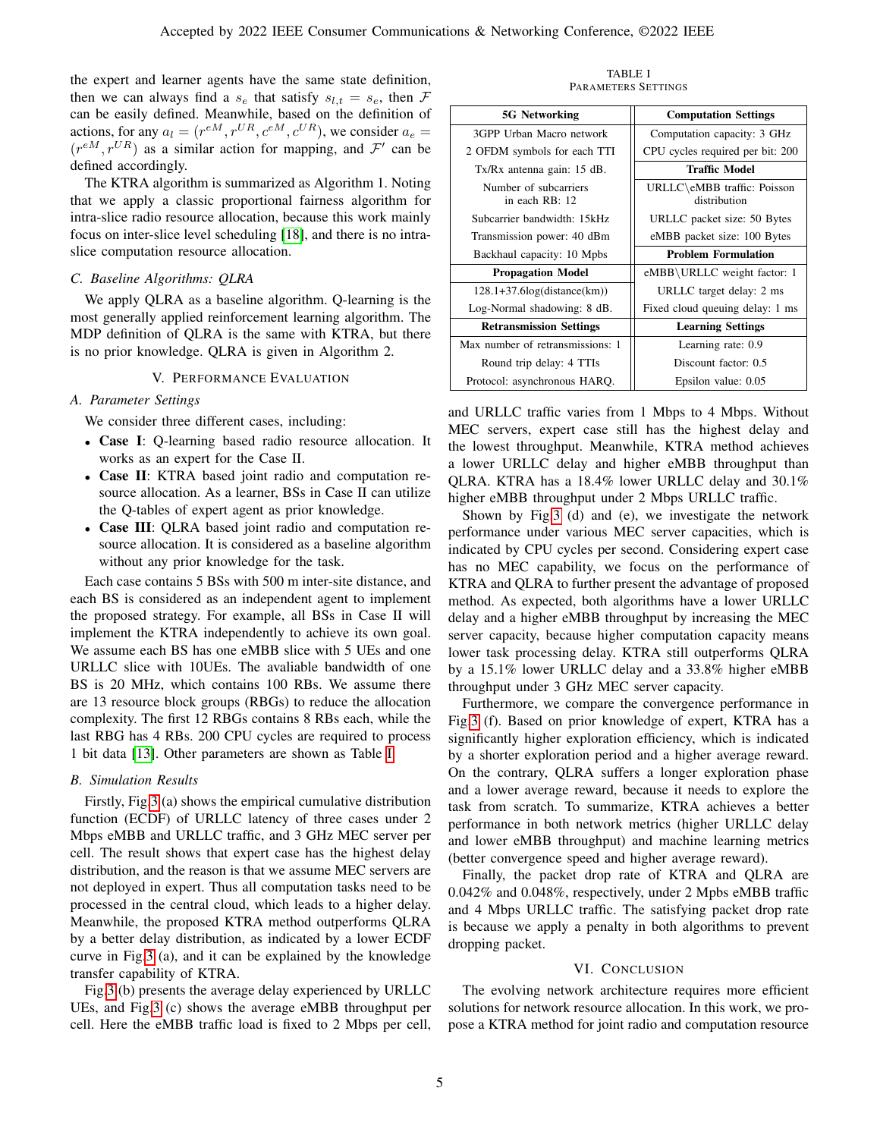the expert and learner agents have the same state definition, then we can always find a  $s_e$  that satisfy  $s_{l,t} = s_e$ , then F can be easily defined. Meanwhile, based on the definition of actions, for any  $a_l = (r^{eM}, r^{UR}, c^{eM}, c^{UR})$ , we consider  $a_e =$  $(r^{eM}, r^{UR})$  as a similar action for mapping, and  $\mathcal{F}'$  can be defined accordingly.

The KTRA algorithm is summarized as Algorithm 1. Noting that we apply a classic proportional fairness algorithm for intra-slice radio resource allocation, because this work mainly focus on inter-slice level scheduling [\[18\]](#page-6-17), and there is no intraslice computation resource allocation.

#### *C. Baseline Algorithms: QLRA*

We apply QLRA as a baseline algorithm. Q-learning is the most generally applied reinforcement learning algorithm. The MDP definition of QLRA is the same with KTRA, but there is no prior knowledge. QLRA is given in Algorithm 2.

## V. PERFORMANCE EVALUATION

## <span id="page-4-0"></span>*A. Parameter Settings*

We consider three different cases, including:

- Case I: Q-learning based radio resource allocation. It works as an expert for the Case II.
- Case II: KTRA based joint radio and computation resource allocation. As a learner, BSs in Case II can utilize the Q-tables of expert agent as prior knowledge.
- Case III: QLRA based joint radio and computation resource allocation. It is considered as a baseline algorithm without any prior knowledge for the task.

Each case contains 5 BSs with 500 m inter-site distance, and each BS is considered as an independent agent to implement the proposed strategy. For example, all BSs in Case II will implement the KTRA independently to achieve its own goal. We assume each BS has one eMBB slice with 5 UEs and one URLLC slice with 10UEs. The avaliable bandwidth of one BS is 20 MHz, which contains 100 RBs. We assume there are 13 resource block groups (RBGs) to reduce the allocation complexity. The first 12 RBGs contains 8 RBs each, while the last RBG has 4 RBs. 200 CPU cycles are required to process 1 bit data [\[13\]](#page-6-12). Other parameters are shown as Table [I.](#page-4-2)

#### *B. Simulation Results*

Firstly, Fig[.3](#page-5-0) (a) shows the empirical cumulative distribution function (ECDF) of URLLC latency of three cases under 2 Mbps eMBB and URLLC traffic, and 3 GHz MEC server per cell. The result shows that expert case has the highest delay distribution, and the reason is that we assume MEC servers are not deployed in expert. Thus all computation tasks need to be processed in the central cloud, which leads to a higher delay. Meanwhile, the proposed KTRA method outperforms QLRA by a better delay distribution, as indicated by a lower ECDF curve in Fig[.3](#page-5-0) (a), and it can be explained by the knowledge transfer capability of KTRA.

Fig[.3](#page-5-0) (b) presents the average delay experienced by URLLC UEs, and Fig[.3](#page-5-0) (c) shows the average eMBB throughput per cell. Here the eMBB traffic load is fixed to 2 Mbps per cell,

TABLE I PARAMETERS SETTINGS

<span id="page-4-2"></span>

| <b>5G Networking</b>                    | <b>Computation Settings</b>                 |
|-----------------------------------------|---------------------------------------------|
| 3GPP Urban Macro network                | Computation capacity: 3 GHz                 |
| 2 OFDM symbols for each TTI             | CPU cycles required per bit: 200            |
| Tx/Rx antenna gain: 15 dB.              | <b>Traffic Model</b>                        |
| Number of subcarriers<br>in each RB: 12 | URLLC\eMBB traffic: Poisson<br>distribution |
| Subcarrier bandwidth: 15kHz             | URLLC packet size: 50 Bytes                 |
| Transmission power: 40 dBm              | eMBB packet size: 100 Bytes                 |
| Backhaul capacity: 10 Mpbs              | <b>Problem Formulation</b>                  |
| <b>Propagation Model</b>                | eMBB\URLLC weight factor: 1                 |
| $128.1+37.6\log(distance(km))$          | URLLC target delay: 2 ms                    |
| Log-Normal shadowing: 8 dB.             | Fixed cloud queuing delay: 1 ms             |
| <b>Retransmission Settings</b>          | <b>Learning Settings</b>                    |
| Max number of retransmissions: 1        | Learning rate: 0.9                          |
| Round trip delay: 4 TTIs                | Discount factor: 0.5                        |
| Protocol: asynchronous HARO.            | Epsilon value: 0.05                         |

and URLLC traffic varies from 1 Mbps to 4 Mbps. Without MEC servers, expert case still has the highest delay and the lowest throughput. Meanwhile, KTRA method achieves a lower URLLC delay and higher eMBB throughput than QLRA. KTRA has a 18.4% lower URLLC delay and 30.1% higher eMBB throughput under 2 Mbps URLLC traffic.

Shown by Fig[.3](#page-5-0) (d) and (e), we investigate the network performance under various MEC server capacities, which is indicated by CPU cycles per second. Considering expert case has no MEC capability, we focus on the performance of KTRA and QLRA to further present the advantage of proposed method. As expected, both algorithms have a lower URLLC delay and a higher eMBB throughput by increasing the MEC server capacity, because higher computation capacity means lower task processing delay. KTRA still outperforms QLRA by a 15.1% lower URLLC delay and a 33.8% higher eMBB throughput under 3 GHz MEC server capacity.

Furthermore, we compare the convergence performance in Fig[.3](#page-5-0) (f). Based on prior knowledge of expert, KTRA has a significantly higher exploration efficiency, which is indicated by a shorter exploration period and a higher average reward. On the contrary, QLRA suffers a longer exploration phase and a lower average reward, because it needs to explore the task from scratch. To summarize, KTRA achieves a better performance in both network metrics (higher URLLC delay and lower eMBB throughput) and machine learning metrics (better convergence speed and higher average reward).

Finally, the packet drop rate of KTRA and QLRA are 0.042% and 0.048%, respectively, under 2 Mpbs eMBB traffic and 4 Mbps URLLC traffic. The satisfying packet drop rate is because we apply a penalty in both algorithms to prevent dropping packet.

#### VI. CONCLUSION

<span id="page-4-1"></span>The evolving network architecture requires more efficient solutions for network resource allocation. In this work, we propose a KTRA method for joint radio and computation resource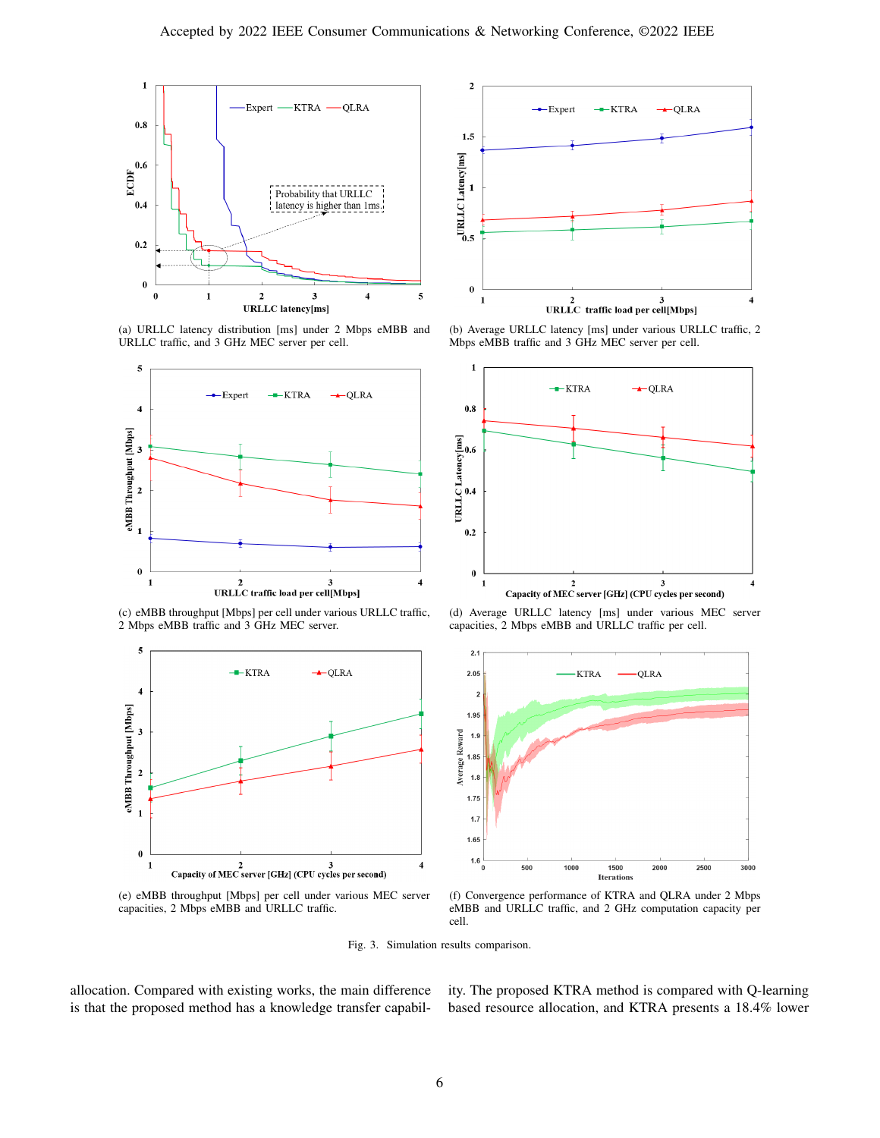

(a) URLLC latency distribution [ms] under 2 Mbps eMBB and URLLC traffic, and 3 GHz MEC server per cell.



(c) eMBB throughput [Mbps] per cell under various URLLC traffic, 2 Mbps eMBB traffic and 3 GHz MEC server.



(e) eMBB throughput [Mbps] per cell under various MEC server capacities, 2 Mbps eMBB and URLLC traffic.



(b) Average URLLC latency [ms] under various URLLC traffic, 2 Mbps eMBB traffic and 3 GHz MEC server per cell.



(d) Average URLLC latency [ms] under various MEC server capacities, 2 Mbps eMBB and URLLC traffic per cell.



(f) Convergence performance of KTRA and QLRA under 2 Mbps eMBB and URLLC traffic, and 2 GHz computation capacity per cell.

<span id="page-5-0"></span>Fig. 3. Simulation results comparison.

allocation. Compared with existing works, the main difference is that the proposed method has a knowledge transfer capability. The proposed KTRA method is compared with Q-learning based resource allocation, and KTRA presents a 18.4% lower